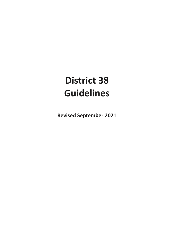# **District 38 Guidelines**

**Revised September 2021**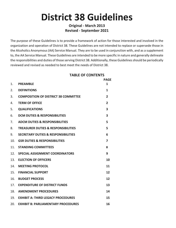# **District 38 Guidelines**

# **Original - March 2013 Revised - September 2021**

The purpose of these Guidelines is to provide a framework of action for those interested and involved in the organization and operation of District 38. These Guidelines are not intended to replace or supersede those in the Alcoholics Anonymous (AA) Service Manual. They are to be used in conjunction with, and as a supplement to, the AA Service Manual. These Guidelines are intended to be more specific in nature and generally delineate the responsibilities and duties of those serving District 38. Additionally, these Guidelines should be periodically reviewed and revised as needed to best meet the needs of District 38.

# **TABLE OF CONTENTS**

|                 |                                                | <b>PAGF</b>    |
|-----------------|------------------------------------------------|----------------|
| 1.              | <b>PREAMBLE</b>                                | 1              |
| 2.              | <b>DEFINITIONS</b>                             | 1              |
| 3.              | <b>COMPOSITION OF DISTRICT 38 COMMITTEE</b>    | $\overline{2}$ |
| 4.              | <b>TERM OF OFFICE</b>                          | $\overline{2}$ |
| 5.              | <b>QUALIFICATIONS</b>                          | 3              |
| 6.              | <b>DCM DUTIES &amp; RESPONSIBILITIES</b>       | 3              |
| 7.              | <b>ADCM DUTIES &amp; RESPONSIBILITIES</b>      | 5              |
| 8.              | <b>TREASURER DUTIES &amp; RESPONSIBILITIES</b> | 5              |
| 9.              | <b>SECRETARY DUTIES &amp; RESPONSIBILITIES</b> | 6              |
| 10.             | <b>GSR DUTIFS &amp; RESPONSIBILITIES</b>       | 7              |
| 11 <sub>1</sub> | <b>STANDING COMMITTEES</b>                     | 8              |
|                 | 12. SPECIAL ASSIGNMENT COORDINATORS            | 9              |
|                 | 13. ELECTION OF OFFICERS                       | 10             |
|                 | 14. MEETING PROTOCOL                           | 11             |
|                 | <b>15. FINANCIAL SUPPORT</b>                   | 12             |
| 16.             | <b>BUDGET PROCESS</b>                          | 12             |
|                 | 17. EXPENDITURE OF DISTRICT FUNDS              | 13             |
| 18.             | <b>AMENDMENT PROCEDURES</b>                    | 14             |
| 19.             | <b>EXHIBIT A: THIRD LEGACY PROCEDURES</b>      | 15             |
| 20.             | <b>EXHIBIT B: PARLIAMENTARY PROCEDURES</b>     | 16             |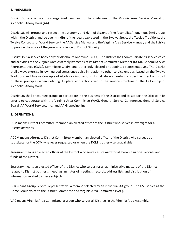#### **1. PREAMBLE:**

District 38 is a service body organized pursuant to the guidelines of the Virginia Area Service Manual of Alcoholics Anonymous (AA).

District 38 will protect and respect the autonomy and right of dissent of the Alcoholics Anonymous (AA) groups within the District, and be ever mindful of the ideals expressed in the Twelve Steps, the Twelve Traditions, the Twelve Concepts for World Service, the AA Service Manual and the Virginia Area Service Manual, and shall strive to provide the voice of the group conscience of District 38 unity.

District 38 is a service body only for Alcoholics Anonymous (AA). The District shall communicate its service voice and activities to the Virginia Area Assembly by means of its District Committee Member (DCM), General Service Representatives (GSRs), Committee Chairs, and other duly elected or appointed representatives. The District shall always exercise its own guided conscience voice in relation to other service entities, based on the Twelve Traditions and Twelve Concepts of Alcoholics Anonymous. It shall always careful consider the intent and spirit of these principles when defining its place and actions within the service structure of the Fellowship of Alcoholics Anonymous.

District 38 shall encourage groups to participate in the business of the District and to support the District in its efforts to cooperate with the Virginia Area Committee (VAC), General Service Conference, General Service Board, AA World Services, Inc., and AA Grapevine, Inc.

## **2. DEFINITIONS:**

DCM means District Committee Member, an elected officer of the District who serves in oversight for all District activities.

ADCM means Alternate District Committee Member, an elected officer of the District who serves as a substitute for the DCM whenever requested or when the DCM is otherwise unavailable.

Treasurer means an elected officer of the District who serves as steward for all books, financial records and funds of the District.

Secretary means an elected officer of the District who serves for all administrative matters of the District related to District business, meetings, minutes of meetings, records, address lists and distribution of information related to these subjects.

GSR means Group Service Representative, a member elected by an individual AA group. The GSR serves as the Home Group voice to the District Committee and Virginia Area Committee (VAC).

VAC means Virginia Area Committee, a group who serves all Districts in the Virginia Area Assembly.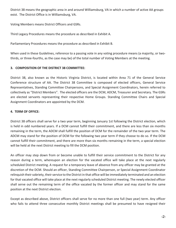District 38 means the geographic area in and around Williamsburg, VA in which a number of active AA groups exist. The District Office is in Williamsburg, VA.

Voting Members means District Officers and GSRs.

Third Legacy Procedures means the procedure as described in Exhibit A.

Parliamentary Procedures means the procedure as described in Exhibit B.

When used in these Guidelines, reference to a passing vote in any voting procedure means (a majority, or twothirds, or three-fourths, as the case may be) of the total number of Voting Members at the meeting.

## **3. COMPOSITION OF THE DISTRICT 38 COMMITTEE:**

District 38, also known as the Historic Virginia District, is located within Area 71 of the General Service Conference structure of AA. The District 38 Committee is composed of elected officers, General Service Representatives, Standing Committee Chairpersons, and Special Assignment Coordinators, herein referred to collectively as "District Members". The elected officers are the DCM, ADCM, Treasurer and Secretary. The GSRs are elected servants representing their respective Home Groups. Standing Committee Chairs and Special Assignment Coordinators are appointed by the DCM.

## **4. TERM OF OFFICE:**

District 38 officers shall serve for a two year term, beginning January 1st following the District election, which is held in odd numbered years. If a DCM cannot fulfill their commitment, and there are less than six months remaining in the term, the ADCM shall fulfill the position of DCM for the remainder of the two year term. The ADCM may stand for the position of DCM for the following two year term if they choose to do so. If the DCM cannot fulfill their commitment, and there are more than six months remaining in the term, a special election will be held at the next District meeting to fill the DCM position.

An officer may step down from or become unable to fulfill their service commitment to the District for any reason during a term, whereupon an election for the vacated office will take place at the next regularly scheduled District meeting. A request for a temporary leave of absence from any officer may be granted at the discretion of the DCM. Should an officer, Standing Committee Chairperson, or Special Assignment Coordinator relinguish their sobriety, their service to the District in that office will be immediately terminated and an election for that vacated office will take place at the next regularly scheduled District meeting. The newly elected officer shall serve out the remaining term of the office vacated by the former officer and may stand for the same position at the next District election.

Except as described above, District officers shall serve for no more than one full (two year) term. Any officer who fails to attend three consecutive monthly District meetings shall be presumed to have resigned their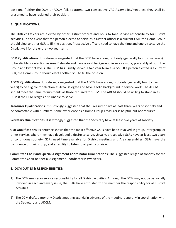position. If either the DCM or ADCM fails to attend two consecutive VAC Assemblies/meetings, they shall be presumed to have resigned their position.

# **5. QUALIFICATIONS:**

The District Officers are elected by other District officers and GSRs to take service responsibility for District activities. In the event that the person elected to serve as a District officer is a current GSR, the Home Group should elect another GSR to fill the position. Prospective officers need to have the time and energy to serve the District well for the entire two year term.

**DCM Qualifications**: It is strongly suggested that the DCM have enough sobriety (generally four to five years) to be eligible for election as Area Delegate and have a solid background in service work, preferably at both the Group and District levels. The DCM has usually served a two year term as a GSR. If a person elected is a current GSR, the Home Group should elect another GSR to fill the position.

**ADCM Qualifications**: It is strongly suggested that the ADCM have enough sobriety (generally four to five years) to be eligible for election as Area Delegate and have a solid background in service work. The ADCM should meet the same requirements as those required for DCM. The ADCM should be willing to stand in as DCM if the DCM resigns or is unable to serve.

**Treasurer Qualifications**: It is strongly suggested that the Treasurer have at least three years of sobriety and be comfortable with numbers. Some experience as a Home Group Treasurer is helpful, but not required.

**Secretary Qualifications**: It is strongly suggested that the Secretary have at least two years of sobriety.

**GSR Qualifications**: Experience shows that the most effective GSRs have been involved in group, Intergroup, or other service, where they have developed a desire to serve. Usually, prospective GSRs have at least two years of continuous sobriety. GSRs need time available for District meetings and Area assemblies. GSRs have the confidence of their group, and an ability to listen to all points of view.

**Committee Chair and Special Assignment Coordinator Qualifications**: The suggested length of sobriety for the Committee Chair or Special Assignment Coordinator is two years.

# **6. DCM DUTIES & RESPONSIBILITIES:**

- 1) The DCM embraces service responsibility for all District activities. Although the DCM may not be personally involved in each and every issue, the GSRs have entrusted to this member the responsibility for all District activities.
- 2) The DCM drafts a monthly District meeting agenda in advance of the meeting, generally in coordination with the Secretary and ADCM.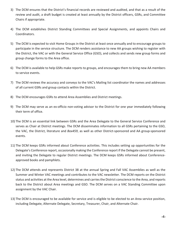- 3) The DCM ensures that the District's financial records are reviewed and audited, and that as a result of the review and audit, a draft budget is created at least annually by the District officers, GSRs, and Committee Chairs if appropriate.
- 4) The DCM establishes District Standing Committees and Special Assignments, and appoints Chairs and Coordinators.
- 5) The DCM is expected to visit Home Groups in the District at least once annually and to encourage groups to participate in the service structure. The DCM renders assistance to new AA groups wishing to register with the District, the VAC or with the General Service Office (GSO), and collects and sends new group forms and group change forms to the Area office.
- 6) The DCM is available to help GSRs make reports to groups, and encourages them to bring new AA members to service events.
- 7) The DCM reviews the accuracy and conveys to the VAC's Mailing list coordinator the names and addresses of all current GSRs and group contacts within the District.
- 8) The DCM encourages GSRs to attend Area Assemblies and District meetings.
- 9) The DCM may serve as an ex-officio non-voting advisor to the District for one year immediately following their term of office.
- 10) The DCM is an essential link between GSRs and the Area Delegate to the General Service Conference and serves as Chair at District meetings. The DCM disseminates information to all GSRs pertaining to the GSO, the VAC, the District, literature and *Box459*, as well as other District-sponsored and AA group-sponsored events.
- 11) The DCM keeps GSRs informed about Conference activities. This includes setting up opportunities for the Delegate's Conference report, occasionally making the Conference report if the Delegate cannot be present, and inviting the Delegate to regular District meetings. The DCM keeps GSRs informed about Conferenceapproved books and pamphlets.
- 12) The DCM attends and represents District 38 at the annual Spring and Fall VAC Assemblies as well as the Summer and Winter VAC meetings and contributes to the VAC newsletter. The DCM reports on the District status and activities at the Area level, determines and carries the District conscience to the Area, and reports back to the District about Area meetings and GSO. The DCM serves on a VAC Standing Committee upon assignment by the VAC Chair.
- 13) The DCM is encouraged to be available for service and is eligible to be elected to an Area service position, including Delegate, Alternate Delegate, Secretary, Treasurer, Chair, and Alternate Chair.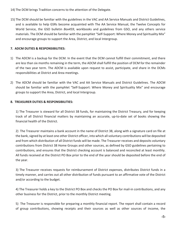14) The DCM brings Tradition concerns to the attention of the Delegate.

15) The DCM should be familiar with the guidelines in the VAC and AA Service Manuals and District Guidelines, and is available to help GSRs become acquainted with The AA Service Manual, the Twelve Concepts for World Service, the GSO bulletin *Box459*, workbooks and guidelines from GSO, and any others service materials. The DCM should be familiar with the pamphlet "Self-Support: Where Money and Spirituality Mix" and encourage groups to support the Area, District, and local Intergroup.

# **7. ADCM DUTIES & RESPONSIBILITIES:**

- 1) The ADCM is a backup for the DCM. In the event that the DCM cannot fulfill their commitment, and there are less than six months remaining in the term, the ADCM shall fulfill the position of DCM for the remainder of the two year term. The ADCM is available upon request to assist, participate, and share in the DCMs responsibilities at District and Area meetings.
- 2) The ADCM should be familiar with the VAC and AA Service Manuals and District Guidelines. The ADCM should be familiar with the pamphlet "Self-Support: Where Money and Spirituality Mix" and encourage groups to support the Area, District, and local Intergroup.

# **8. TREASURER DUTIES & RESPONSIBILITIES:**

1) The Treasurer is steward for all District 38 funds, for maintaining the District Treasury, and for keeping track of all District financial matters by maintaining an accurate, up-to-date set of books showing the financial health of the District.

2) The Treasurer maintains a bank account in the name of District 38, along with a signature card on file at the bank, signed by at least one other District officer, into which all voluntary contributions will be deposited and from which distribution of all District funds will be made. The Treasurer receives and deposits voluntary contributions from District 38 Home Groups and other sources, as defined by GSO guidelines pertaining to contributions, and ensures that the District checking account is balanced and reconciled at least monthly. All funds received at the District PO Box prior to the end of the year should be deposited before the end of the year.

3) The Treasurer receives requests for reimbursement of District expenses, distributes District funds in a timely manner, and carries out all other distribution of funds pursuant to an affirmative vote of the District and/or according to the budget.

4) The Treasurer holds a key to the District PO Box and checks the PO Box for mail-in contributions, and any other business for the District, prior to the monthly District meeting.

5) The Treasurer is responsible for preparing a monthly financial report. The report shall contain a record of group contributions, showing receipts and their sources as well as other sources of income, the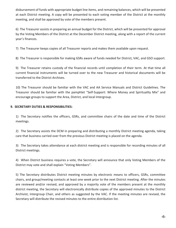disbursement of funds with appropriate budget line items, and remaining balances, which will be presented at each District meeting. A copy will be presented to each voting member of the District at the monthly meeting, and shall be approved by vote of the members present.

6) The Treasurer assists in preparing an annual budget for the District, which will be presented for approval by the Voting Members of the District at the December District meeting, along with a report of the current year's finances.

7) The Treasurer keeps copies of all Treasurer reports and makes them available upon request.

8) The Treasurer is responsible for making GSRs aware of funds needed for District, VAC, and GSO support.

9) The Treasurer retains custody of the financial records until completion of their term. At that time all current financial instruments will be turned over to the new Treasurer and historical documents will be transferred to the District Archives.

10) The Treasurer should be familiar with the VAC and AA Service Manuals and District Guidelines. The Treasurer should be familiar with the pamphlet "Self-Support: Where Money and Spirituality Mix" and encourage groups to support the Area, District, and local Intergroup.

# **9. SECRETARY DUTIES & RESPONSIBILITIES:**

1) The Secretary notifies the officers, GSRs, and committee chairs of the date and time of the District meetings.

2) The Secretary assists the DCM in preparing and distributing a monthly District meeting agenda, taking care that business carried over from the previous District meeting is placed on the agenda.

3) The Secretary takes attendance at each district meeting and is responsible for recording minutes of all District meetings.

4) When District business requires a vote, the Secretary will announce that only Voting Members of the District may vote and shall explain "Voting Members".

5) The Secretary distributes District meeting minutes by electronic means to officers, GSRs, committee chairs, and group/meeting contacts at least one week prior to the next District meeting. After the minutes are reviewed and/or revised, and approved by a majority vote of the members present at the monthly district meeting, the Secretary will electronically distribute copies of the approved minutes to the District Archivist, Intergroup Chair, and others as suggested by the VAC. If the meeting minutes are revised, the Secretary will distribute the revised minutes to the entire distribution list.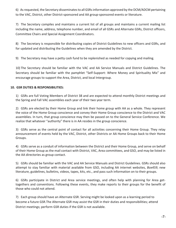6) As requested, the Secretary disseminates to all GSRs information approved by the DCM/ADCM pertaining to the VAC, District, other District-sponsored and AA group-sponsored events or literature.

7) The Secretary compiles and maintains a current list of all groups and maintains a current mailing list including the name, address, telephone number, and email of all GSRs and Alternate GSRs, District officers, Committee Chairs and Special Assignment Coordinators.

8) The Secretary is responsible for distributing copies of District Guidelines to new officers and GSRs, and for updated and distributing the Guidelines when they are amended by the District.

9) The Secretary may have a petty cash fund to be replenished as needed for copying and mailing.

10) The Secretary should be familiar with the VAC and AA Service Manuals and District Guidelines. The Secretary should be familiar with the pamphlet "Self-Support: Where Money and Spirituality Mix" and encourage groups to support the Area, District, and local Intergroup.

## **10. GSR DUTIES & RESPONSIBILITIES:**

1) GSRs are full Voting Members of District 38 and are expected to attend monthly District meetings and the Spring and Fall VAC assemblies each year of their two year term.

2) GSRs are elected by their Home Group and link their home group with AA as a whole. They represent the voice of the Home Group conscience and convey their Home Group conscience to the District and VAC assemblies. In turn, that group conscience may then be passed on to the General Service Conference. We realize that whatever "authority" there is in AA resides in the group conscience.

3) GSRs serve as the central point of contact for all activities concerning their Home Group. They relay announcement of events held by the VAC, District, other Districts or AA Home Groups back to their Home Groups.

4) GSRs serve as a conduit of information between the District and their Home Group, and serve on behalf of their Home Group as the mail contact with District, VAC, Area committees, and GSO, and may be listed in the AA directories as group contact.

5) GSRs should be familiar with the VAC and AA Service Manuals and District Guidelines. GSRs should also attempt to stay familiar with material available from GSO, including AA internet websites, *Box459*, new literature, guidelines, bulletins, videos, tapes, kits, etc., and pass such information on to their groups.

6) GSRs participate in District and Area service meetings, and often help with planning for Area gettogethers and conventions. Following these events, they make reports to their groups for the benefit of those who could not attend.

7) Each group should have an Alternate GSR. Serving might be looked upon as a learning period to become a future GSR.The Alternate GSR may assist the GSR in their duties and responsibilities; attend District meetings; perform GSR duties if the GSR is not available.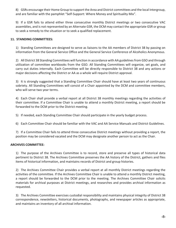8) GSRs encourage their Home Group to support the Area and District committees and the local Intergroup, and are familiar with the pamphlet "Self-Support: Where Money and Spirituality Mix".

9) If a GSR fails to attend either three consecutive monthly District meetings or two consecutive VAC assemblies, and is not represented by an Alternate GSR, the DCM may contact the appropriate GSR or group to seek a remedy to the situation or to seek a qualified replacement.

## **11. STANDING COMMITTEES:**

1) Standing Committees are designed to serve as liaisons to the AA members of District 38 by passing on information from the General Service Office and the General Service Conference of Alcoholics Anonymous.

2) All District 38 Standing Committees will function in accordance with AA guidelines from GSO and through utilization of committee workbooks from the GSO. All Standing Committees will organize, set goals, and carry out duties internally. Each Committee will be directly responsible to District 38 and any actions or major decisions affecting the District or AA as a whole will require District approval.

3) It is strongly suggested that a Standing Committee Chair should have at least two years of continuous sobriety. All Standing Committees will consist of a Chair appointed by the DCM and committee members, who will serve two year terms.

4) Each Chair shall provide a verbal report at all District 38 monthly meetings regarding the activities of their committee. If a Committee Chair is unable to attend a monthly District meeting, a report should be forwarded to the DCM prior to the District meeting.

- 5) If needed, each Standing Committee Chair should participate in the yearly budget process.
- 6) Each Committee Chair should be familiar with the VAC and AA Service Manuals and District Guidelines.

7) If a Committee Chair fails to attend three consecutive District meetings without providing a report, the position may be considered vacated and the DCM may designate another person to act as the Chair.

## **ARCHIVES COMMITTEE:**

1) The purpose of the Archives Committee is to record, store and preserve all types of historical data pertinent to District 38. The Archives Committee preserves the AA history of the District, gathers and files items of historical information, and maintains records of District and group histories.

2) The Archives Committee Chair provides a verbal report at all monthly District meetings regarding the activities of the committee. If the Archives Committee Chair is unable to attend a monthly District meeting, a report should be forwarded to the DCM prior to the meeting. The Archives Committee Chair solicits materials for archival purposes at District meetings, and researches and provides archival information as requested.

3) The Archives Committee exercises custodial responsibility and maintains physical integrity of District 38 correspondence, newsletters, historical documents, photographs, and newspaper articles as appropriate, and maintains an inventory of all archival information.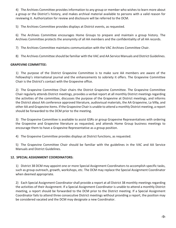4) The Archives Committee provides information to any group or member who wishes to learn more about a group or the District's history, and makes archival material available to persons with a valid reason for reviewing it. Authorization for review and disclosure will be referred to the DCM.

5) The Archives Committee provides displays at District events, as requested.

6) The Archives Committee encourages Home Groups to prepare and maintain a group history. The Archives Committee protects the anonymity of all AA members and the confidentiality of all AA records.

7) The Archives Committee maintains communication with the VAC Archives Committee Chair.

8) The Archives Committee should be familiar with the VAC and AA Service Manuals and District Guidelines.

## **GRAPEVINE COMMITTEE:**

1) The purpose of the District Grapevine Committee is to make sure AA members are aware of the Fellowship's international journal and the enhancements to sobriety it offers. The Grapevine Committee Chair is the District's contact with the Grapevine office.

2) The Grapevine Committee Chair chairs the District Grapevine Committee. The Grapevine Committee Chair regularly attends District meetings, provides a verbal report at all monthly District meetings regarding the activities of the committee, discusses the purpose of the Grapevine at District meetings, and informs the District about AA conference approved literature, audiovisual materials, the AA Grapevine, La Viña, and other AA and Grapevine items. If the Grapevine Chair is unable to attend a monthly District meeting, a report should be forwarded to the DCM prior to the meeting.

3) The Grapevine Committee is available to assist GSRs or group Grapevine Representatives with ordering the Grapevine and Grapevine literature as requested, and attends Home Group business meetings to encourage them to have a Grapevine Representative as a group position.

4) The Grapevine Committee provides displays at District functions, as requested.

5) The Grapevine Committee Chair should be familiar with the guidelines in the VAC and AA Service Manuals and District Guidelines.

## **12. SPECIAL ASSIGNMENT COORDINATORS:**

1) District 38 DCM may appoint one or more Special Assignment Coordinators to accomplish specific tasks, such as group outreach, growth, workshops, etc. The DCM may replace the Special Assignment Coordinator when deemed appropriate.

2) Each Special Assignment Coordinator shall provide a report at all District 38 monthly meetings regarding the activities of their Assignment. If a Special Assignment Coordinator is unable to attend a monthly District meeting, a report should be forwarded to the DCM prior to the District meeting. If a Special Assignment Coordinator fails to attend three consecutive District meetings without providing a report, the position may be considered vacated and the DCM may designate a new Coordinator.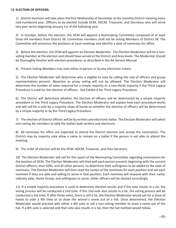#### 1**3. ELECTION OF OFFICERS:**

1) District elections will take place the first Wednesday of December at the monthly District meeting every odd-numbered year. Officers to be elected include DCM, ADCM, Treasurer, and Secretary who will serve two year terms beginning January 1st of the following year.

2) In October, before the election, the DCM will appoint a Nominating Committee composed of at least three AA members from District 38. Committee members shall not be Voting Members of District 38. The Committee will announce the positions at local meetings and identify a slate of nominees for office.

3) Before the election, the DCM will appoint an Election Moderator. The Election Moderator will be a nonvoting member at the election and should have served at the District and Area levels. The Moderator should be thoroughly familiar with election procedures as described in the AA Service Manual.

4) Present Voting Members may vote either in person or by any electronic means

5) The Election Moderator will determine who is eligible to vote by calling the role of officers and group representatives present. Absentee or proxy voting will not be allowed. The Election Moderator will determine the number of votes required for a simple majority or a two-thirds majority if the Third Legacy Procedure is used for the election of officers. See Exhibit A for Third Legacy Procedure.

6) The District will determine whether the election of officers will be determined by a simple majority procedure or the Third Legacy Procedure. The Election Moderator will explain how each procedure works and will call for a vote by a majority show of hands on whether the election of officers will be determined by a simple majority or by the Third Legacy Procedure.

7) The election of District officers will be by written and electronic ballot. The Election Moderator will select non-voting AA members to tally the ballots both written and electronic.

8) All nominees for office are expected to attend the District election and accept the nomination. The District may by majority vote allow a name to remain on a ballot if the person is not able to attend the meeting.

9) The order of election will be the DCM, ADCM, Treasurer, and then Secretary.

10) The Election Moderator will call for the report of the Nominating Committee regarding nominations for the position of DCM. The Election Moderator will then poll each person present, beginning with the current District officers, then GSRs, and all other persons, to determine their willingness to be added to the slate of nominees. The Election Moderator will then read the names of the nominees for each position and ask each nominee if they are able and willing to serve in that position. Each nominee will respond with their name, sobriety date, Home Group, and willingness to serve. Other officers will be elected accordingly.

11) If a simple majority procedure is used to determine election results and if the vote results in a tie, the voting process will be conducted a 2nd time. If this 2nd vote also results in a tie, the voting process will be conducted a 3rd time. If after three votes, there is still a tie, the Election Moderator would ask for a show of hands to vote a 4th time or to draw the winner's name out of a hat. Once determined, the Election Moderator would proceed with either a 4th vote or ask a non-voting member to draw a name out of the hat. If a 4th vote is selected and that vote also results in a tie, then the hat method would follow.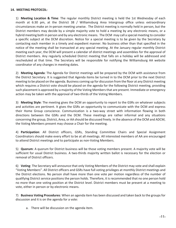#### **14. MEETING PROTOCOL:**

1) **Meeting Location & Time**: The regular monthly District meeting is held the 1st Wednesday of each month at 6:30 pm, at the District 38 / Williamsburg Area Intergroup office unless extraordinary circumstances make an in-person meeting unwise. The District meeting is normally held in person, but the District members may decide by a simple majority vote to hold a meeting by any electronic means, or a hybrid meeting both in person and by any electronic means. The DCM may call a special meeting to consider a specific subject at the DCM discretion. Notice for a special meeting is to be given by the Secretary by contacting each member in a timely and expedient manner. No business other than that specified in the notice of the meeting shall be transacted at any special meeting. At the January regular monthly District meeting each year, the DCM will present a calendar of district meetings and assemblies for the approval of District members. Any regularly scheduled District meeting that falls on a holiday will be addressed and rescheduled at that time. The Secretary will be responsible for notifying the Williamsburg AA website coordinator of any changes in meeting dates.

2) **Meeting Agenda**: The Agenda for District meetings will be prepared by the DCM with assistance from the District Secretary. It is suggested that Agenda items be turned in to the DCM prior to the next District meeting to be placed on the agenda. Business coming up for discussion from the floor at any District meeting which requires a District vote should be placed on the agenda for the following District meeting, providing such placement is approved by a majority of the Voting Members that are present. Immediate or emergency action may be taken with the approval of two-thirds of the Voting Members.

3) **Meeting Style**: The meeting gives the DCM an opportunity to report to the GSRs on whatever subjects and activities are pertinent. It gives the GSRs an opportunity to communicate with the DCM and express their Home Group conscience. Communication is a two-way street with information flowing in both directions between the GSRs and the DCM. These meetings are rather informal and any situations concerning the group, District, Area, or AA should be discussed freely. In the absence of the DCM and ADCM, the Voting Members present may choose a Chair for the meeting.

4) **Participation**: All District officers, GSRs, Standing Committee Chairs and Special Assignment Coordinators should make every effort to be at all meetings. All interested members of AA are encouraged to attend District meetings and to participate as non-Voting Members.

5) **Quorum**: A quorum for District business will be those voting members present. A majority vote will be sufficient for usual District business. A two-thirds majority written ballot is necessary for the election or removal of District officers.

6) **Voting**: The Secretary will announce that only Voting Members of the District may vote and shall explain "Voting Members". All District officers and GSRs have full voting privileges at monthly District meetings and the District elections. No person shall have more than one vote per motion regardless of the number of qualifying District service positions the person holds. Therefore, it is recommended that no one person hold no more than one voting position at the District level. District members must be present at a meeting to vote, either in person or by electronic means.

7) **Business Voting Procedures**: When an agenda item has been discussed and taken back to the groups for discussion and it is on the agenda for a vote:

a. There will be discussion on the agenda item.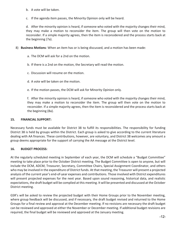- b. A vote will be taken.
- c. If the agenda item passes, the Minority Opinion only will be heard.

d. After the minority opinion is heard, if someone who voted with the majority changes their mind, they may make a motion to reconsider the item. The group will then vote on the motion to reconsider. If a simple majority agrees, then the item is reconsidered and the process starts back at the beginning (7a).

- 8) **Business Motions**: When an item has or is being discussed, and a motion has been made:
	- a. The DCM will ask for a 2nd on the motion.
	- b. If there is a 2nd on the motion, the Secretary will read the motion.
	- c. Discussion will resume on the motion.
	- d. A vote will be taken on the motion.
	- e. If the motion passes, the DCM will ask for Minority Opinion only.

f. After the minority opinion is heard, if someone who voted with the majority changes their mind, they may make a motion to reconsider the item. The group will then vote on the motion to reconsider. If a simple majority agrees, then the item is reconsidered and the process starts back at the beginning (8a).

#### **15. FINANCIAL SUPPORT:**

Necessary funds must be available for District 38 to fulfill its responsibilities. The responsibility for funding District 38 is held by groups within the District. Each group is asked to give according to the current literature dealing with AA finances. These contributions, however, are voluntary, and District 38 welcomes any amount a group deems appropriate for the support of carrying the AA message at the District level.

## **16. BUDGET PROCESS:**

At the regularly scheduled meeting in September of each year, the DCM will schedule a "Budget Committee" meeting to take place prior to the October District meeting. The Budget Committee is open to anyone, but will include the DCM, ADCM, Treasurer, Secretary, Committee Chairs, Special Assignment Coordinator, and others who may be involved in the expenditure of District funds. At that meeting, the Treasurer will present a projected analysis of the current year's end-of-year expenses and contributions. Those involved with District expenditures will present projected expenses for the next year. Based upon sound reasoning, historical data, and realistic expectations, the draft budget will be complied at this meeting. It will be presented and discussed at the October District meeting.

GSR's will be asked to review the projected budget with their Home Groups prior to the November meeting, where group feedback will be discussed, and if necessary, the draft budget revised and returned to the Home Groups for a final review and approval at the December meeting. If no revisions are necessary the draft budget can be reviewed and approved at either the November or December meeting. If additional budget revisions are required, the final budget will be reviewed and approved at the January meeting.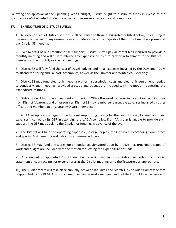Following the approval of the upcoming year's budget, District ought to distribute funds in excess of the upcoming year's budgeted prudent reserve to other AA service boards and committees.

## **17. EXPENDITURE OF DISTRICT FUNDS:**

1) All expenditures of District 38 funds shall be limited to those as budgeted or listed below, unless subject to one-time change for any reason by an affirmative vote of the majority of the District members present at any District 38 meeting.

2) Ever mindful of our Tradition of self-support, District 38 will pay all rental fees incurred to provide a monthly meeting and will fully reimburse any expenses incurred to provide refreshment to the District 38 members at the monthly or special meetings.

3) District 38 will fully fund the cost of travel, lodging and meal expenses incurred by the DCM and ADCM to attend the Spring and Fall VAC Assemblies, as well as the Summer and Winter VAC Meetings.

4) District 38 may fund electronic meeting platform subscription costs and electronic equipment needed to conduct virtual meetings, provided a scope and budget are included with the motion requesting the expenditure of funds.

5) District 38 will fund the annual rental of the Post Office Box used for receiving voluntary contributions from District AA groups and other sources. District 38 may reimburse reasonable expenses incurred by other officers and members upon a vote by District members.

6) An AA group is encouraged to be fully self-supporting, paying for the cost of travel, lodging, and meal expenses incurred by its GSR in attending the VAC Assemblies. If an AA group is unable to provide such support, the GSR may apply to the District for funding, in advance of the event.

7) The District will fund the operating expenses (postage, copies, etc.) incurred by Standing Committees and Special Assignment Coordinators on an as-needed basis.

8) District 38 may fund any workshop or special activity voted upon by the District, provided a scope of work and budget are included with the motion requesting the expenditure of funds.

9) Any elected or appointed District member receiving money from District will submit a financial statement and/or receipts for expenditures at the District meeting or to the Treasurer, as appropriate.

10) The Audit process will take place annually, between January 1 and March 1, by an Audit Committee that is appointed by the DCM. Any District member can request a mid-year audit of the District Financial records.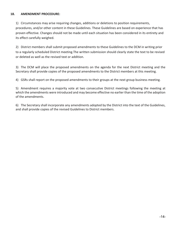#### **18. AMENDMENT PROCEDURE:**

1) Circumstances may arise requiring changes, additions or deletions to position requirements, procedures, and/or other content in these Guidelines. These Guidelines are based on experience that has proven effective. Changes should not be made until each situation has been considered in its entirety and its effect carefully weighed.

2) District members shall submit proposed amendments to these Guidelines to the DCM in writing prior to a regularly scheduled District meeting.The written submission should clearly state the text to be revised or deleted as well as the revised text or addition.

3) The DCM will place the proposed amendments on the agenda for the next District meeting and the Secretary shall provide copies of the proposed amendments to the District members at this meeting.

4) GSRs shall report on the proposed amendments to their groups at the next group business meeting.

5) Amendment requires a majority vote at two consecutive District meetings following the meeting at which the amendments were introduced and may become effective no earlier than the time of the adoption of the amendments.

6) The Secretary shall incorporate any amendments adopted by the District into the text of the Guidelines, and shall provide copies of the revised Guidelines to District members.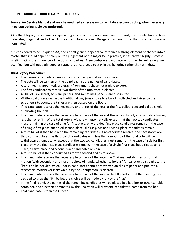#### **19. EXHIBIT A: THIRD LEGACY PROCEDURES**

#### **Source: AA Service Manual and may be modified as necessary to facilitate electronic voting when necessary. In person voting is always preferred.**

AA's Third Legacy Procedure is a special type of electoral procedure, used primarily for the election of Area Delegates, Regional and other Trustees and International Delegates, where more than one candidate is nominated.

It is considered to be unique to AA, and at first glance, appears to introduce a strong element of chance into a matter that should depend solely on the judgement of the majority. In practice, it has proved highly successful in eliminating the influence of factions or parties. A second-place candidate who may be extremely well qualified, but without early popular support is encouraged to stay in the balloting rather than withdraw.

#### **Third Legacy Procedure:**

- The names of candidates are written on a black/whiteboard or similar.
- The vote will be written on the board against the names of candidates.
- A scrutineer is appointed, preferably from among those not eligible to vote.
- The first candidate to receive two-thirds of the total vote is elected.
- All ballots are secret, so blank papers (and sometimes pencils) are distributed.
- Written ballots are cast in the traditional way (one choice to a ballot), collected and given to the scrutineers to count; the tallies are then posted on the Board.
- If no candidate receives the necessary two-thirds of the vote at the first ballot, a second ballot is held, duplicating the first.
- If no candidate receives the necessary two-thirds of the vote at the second ballot, any candidate having less than one-fifth of the total vote is withdrawn automatically except that the two top candidates must remain. In the case of a tie for first place, only the tied first-place candidates remain. In the case of a single first place but a tied second place, all first-place and second-place candidates remain.
- A third ballot is then held with the remaining candidates. If no candidate receives the necessary twothirds of the vote at the third ballot, candidates with less than one-third of the total vote will be withdrawn automatically, except that the two top candidates must remain. In the case of a tie for first place, only the tied first-place candidates remain. In the case of a single first place but a tied second place, all first-place and second-place candidates remain.
- A fourth ballot is then conducted as for the second and third above.
- If no candidate receives the necessary two-thirds of the vote, the Chairman establishes by formal motion (with seconder) on a majority show of hands, whether to hold a fifth ballot or go straight to the "hat" and be decided by lot. That is, candidates names are written on slips of paper and put into a receptacle. Whichever is drawn out by the Chairperson, is elected.
- If no candidate receives the necessary two-thirds of the vote in the fifth ballot, or if the meeting has decided to drop the fifth ballot, the choice will be made by lot (by the "hat").
- In the final round, the names of the remaining candidates will be placed in a hat, box or other suitable container, and a person nominated by the Chairman will draw one candidate's name from the hat.
- That candidate is then the Officer.